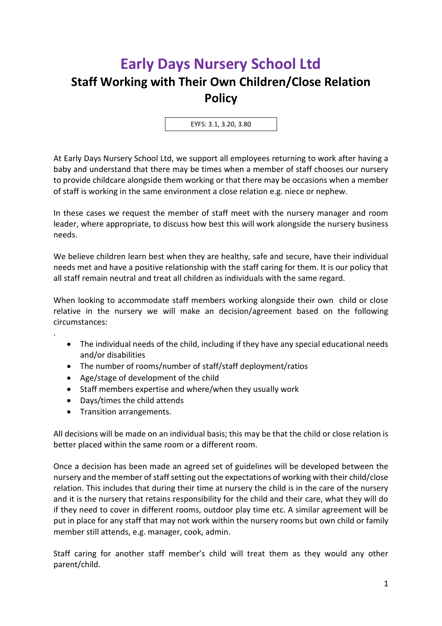## **Early Days Nursery School Ltd Staff Working with Their Own Children/Close Relation Policy**

EYFS: 3.1, 3.20, 3.80

At Early Days Nursery School Ltd, we support all employees returning to work after having a baby and understand that there may be times when a member of staff chooses our nursery to provide childcare alongside them working or that there may be occasions when a member of staff is working in the same environment a close relation e.g. niece or nephew.

In these cases we request the member of staff meet with the nursery manager and room leader, where appropriate, to discuss how best this will work alongside the nursery business needs.

We believe children learn best when they are healthy, safe and secure, have their individual needs met and have a positive relationship with the staff caring for them. It is our policy that all staff remain neutral and treat all children as individuals with the same regard.

When looking to accommodate staff members working alongside their own child or close relative in the nursery we will make an decision/agreement based on the following circumstances:

- The individual needs of the child, including if they have any special educational needs and/or disabilities
- The number of rooms/number of staff/staff deployment/ratios
- Age/stage of development of the child
- Staff members expertise and where/when they usually work
- Days/times the child attends
- Transition arrangements.

.

All decisions will be made on an individual basis; this may be that the child or close relation is better placed within the same room or a different room.

Once a decision has been made an agreed set of guidelines will be developed between the nursery and the member of staff setting out the expectations of working with their child/close relation. This includes that during their time at nursery the child is in the care of the nursery and it is the nursery that retains responsibility for the child and their care, what they will do if they need to cover in different rooms, outdoor play time etc. A similar agreement will be put in place for any staff that may not work within the nursery rooms but own child or family member still attends, e.g. manager, cook, admin.

Staff caring for another staff member's child will treat them as they would any other parent/child.